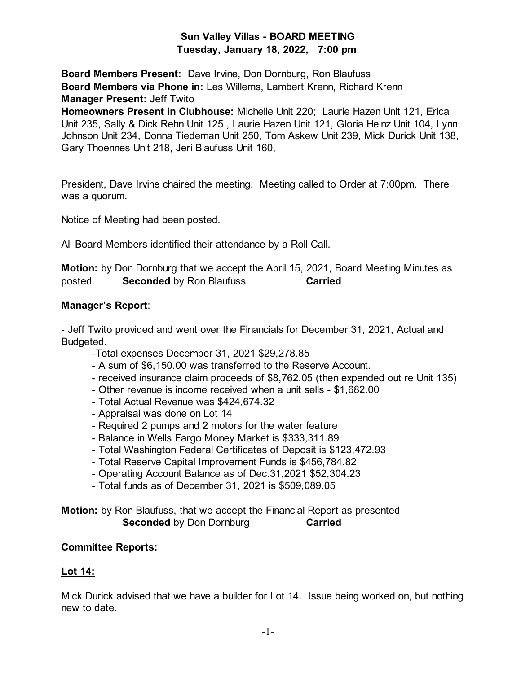# **Sun Valley Villas - BOARD MEETING Tuesday, January 18, 2022, 7:00 pm**

**Board Members Present:** Dave Irvine, Don Dornburg, Ron Blaufuss **Board Members via Phone in:** Les Willems, Lambert Krenn, Richard Krenn **Manager Present:** Jeff Twito

**Homeowners Present in Clubhouse:** Michelle Unit 220; Laurie Hazen Unit 121, Erica Unit 235, Sally & Dick Rehn Unit 125 , Laurie Hazen Unit 121, Gloria Heinz Unit 104, Lynn Johnson Unit 234, Donna Tiedeman Unit 250, Tom Askew Unit 239, Mick Durick Unit 138, Gary Thoennes Unit 218, Jeri Blaufuss Unit 160,

President, Dave Irvine chaired the meeting. Meeting called to Order at 7:00pm. There was a quorum.

Notice of Meeting had been posted.

All Board Members identified their attendance by a Roll Call.

**Motion:** by Don Dornburg that we accept the April 15, 2021, Board Meeting Minutes as posted. **Seconded** by Ron Blaufuss **Carried**

### **Manager's Report**:

- Jeff Twito provided and went over the Financials for December 31, 2021, Actual and Budgeted.

- -Total expenses December 31, 2021 \$29,278.85
- A sum of \$6,150.00 was transferred to the Reserve Account.
- received insurance claim proceeds of \$8,762.05 (then expended out re Unit 135)
- Other revenue is income received when a unit sells \$1,682.00
- Total Actual Revenue was \$424,674.32
- Appraisal was done on Lot 14
- Required 2 pumps and 2 motors for the water feature
- Balance in Wells Fargo Money Market is \$333,311.89
- Total Washington Federal Certificates of Deposit is \$123,472.93
- Total Reserve Capital Improvement Funds is \$456,784.82
- Operating Account Balance as of Dec.31,2021 \$52,304.23
- Total funds as of December 31, 2021 is \$509,089.05

### **Motion:** by Ron Blaufuss, that we accept the Financial Report as presented **Seconded** by Don Dornburg **Carried**

### **Committee Reports:**

## **Lot 14:**

Mick Durick advised that we have a builder for Lot 14. Issue being worked on, but nothing new to date.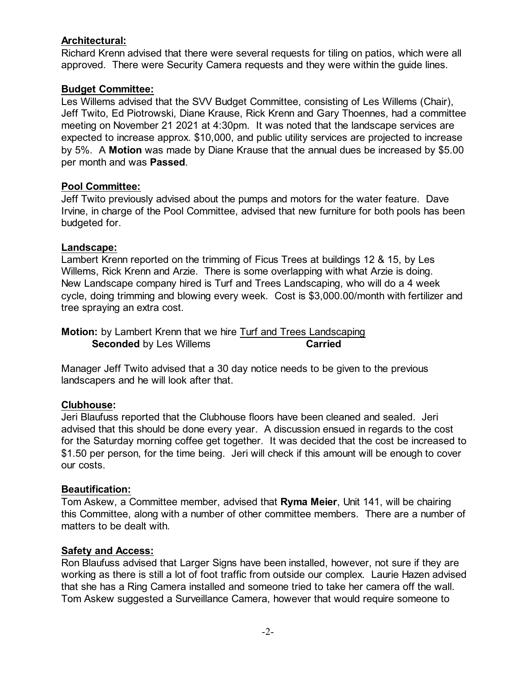### **Architectural:**

Richard Krenn advised that there were several requests for tiling on patios, which were all approved. There were Security Camera requests and they were within the guide lines.

### **Budget Committee:**

Les Willems advised that the SVV Budget Committee, consisting of Les Willems (Chair), Jeff Twito, Ed Piotrowski, Diane Krause, Rick Krenn and Gary Thoennes, had a committee meeting on November 21 2021 at 4:30pm. It was noted that the landscape services are expected to increase approx. \$10,000, and public utility services are projected to increase by 5%. A **Motion** was made by Diane Krause that the annual dues be increased by \$5.00 per month and was **Passed**.

### **Pool Committee:**

Jeff Twito previously advised about the pumps and motors for the water feature. Dave Irvine, in charge of the Pool Committee, advised that new furniture for both pools has been budgeted for.

### **Landscape:**

Lambert Krenn reported on the trimming of Ficus Trees at buildings 12 & 15, by Les Willems, Rick Krenn and Arzie. There is some overlapping with what Arzie is doing. New Landscape company hired is Turf and Trees Landscaping, who will do a 4 week cycle, doing trimming and blowing every week. Cost is \$3,000.00/month with fertilizer and tree spraying an extra cost.

**Motion:** by Lambert Krenn that we hire Turf and Trees Landscaping **Seconded** by Les Willems **Carried** 

Manager Jeff Twito advised that a 30 day notice needs to be given to the previous landscapers and he will look after that.

## **Clubhouse:**

Jeri Blaufuss reported that the Clubhouse floors have been cleaned and sealed. Jeri advised that this should be done every year. A discussion ensued in regards to the cost for the Saturday morning coffee get together. It was decided that the cost be increased to \$1.50 per person, for the time being. Jeri will check if this amount will be enough to cover our costs.

### **Beautification:**

Tom Askew, a Committee member, advised that **Ryma Meier**, Unit 141, will be chairing this Committee, along with a number of other committee members. There are a number of matters to be dealt with.

### **Safety and Access:**

Ron Blaufuss advised that Larger Signs have been installed, however, not sure if they are working as there is still a lot of foot traffic from outside our complex. Laurie Hazen advised that she has a Ring Camera installed and someone tried to take her camera off the wall. Tom Askew suggested a Surveillance Camera, however that would require someone to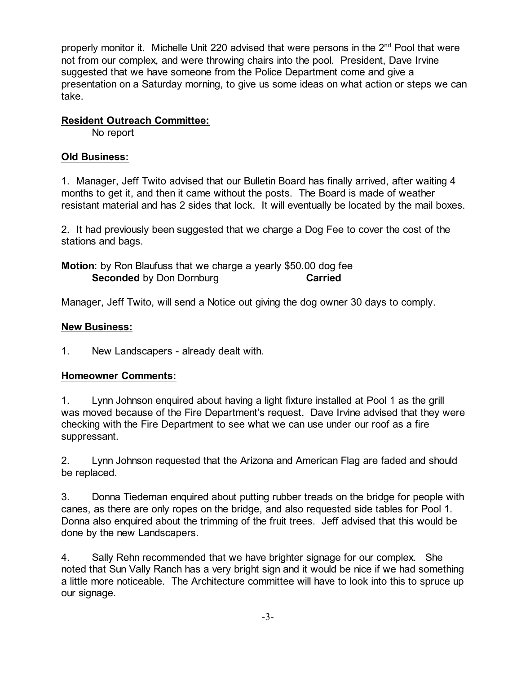properly monitor it. Michelle Unit 220 advised that were persons in the 2<sup>nd</sup> Pool that were not from our complex, and were throwing chairs into the pool. President, Dave Irvine suggested that we have someone from the Police Department come and give a presentation on a Saturday morning, to give us some ideas on what action or steps we can take.

### **Resident Outreach Committee:**

No report

## **Old Business:**

1. Manager, Jeff Twito advised that our Bulletin Board has finally arrived, after waiting 4 months to get it, and then it came without the posts. The Board is made of weather resistant material and has 2 sides that lock. It will eventually be located by the mail boxes.

2. It had previously been suggested that we charge a Dog Fee to cover the cost of the stations and bags.

**Motion**: by Ron Blaufuss that we charge a yearly \$50.00 dog fee **Seconded** by Don Dornburg **Carried** 

Manager, Jeff Twito, will send a Notice out giving the dog owner 30 days to comply.

### **New Business:**

1. New Landscapers - already dealt with.

### **Homeowner Comments:**

1. Lynn Johnson enquired about having a light fixture installed at Pool 1 as the grill was moved because of the Fire Department's request. Dave Irvine advised that they were checking with the Fire Department to see what we can use under our roof as a fire suppressant.

2. Lynn Johnson requested that the Arizona and American Flag are faded and should be replaced.

3. Donna Tiedeman enquired about putting rubber treads on the bridge for people with canes, as there are only ropes on the bridge, and also requested side tables for Pool 1. Donna also enquired about the trimming of the fruit trees. Jeff advised that this would be done by the new Landscapers.

4. Sally Rehn recommended that we have brighter signage for our complex. She noted that Sun Vally Ranch has a very bright sign and it would be nice if we had something a little more noticeable. The Architecture committee will have to look into this to spruce up our signage.